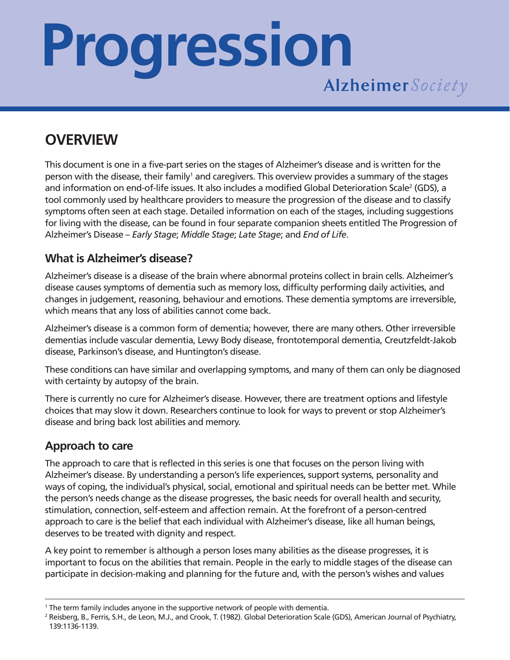# **Progression**

### **OVERVIEW**

This document is one in a five-part series on the stages of Alzheimer's disease and is written for the person with the disease, their family<sup>1</sup> and caregivers. This overview provides a summary of the stages and information on end-of-life issues. It also includes a modified Global Deterioration Scale<sup>2</sup> (GDS), a tool commonly used by healthcare providers to measure the progression of the disease and to classify symptoms often seen at each stage. Detailed information on each of the stages, including suggestions for living with the disease, can be found in four separate companion sheets entitled The Progression of Alzheimer's Disease – *Early Stage*; *Middle Stage*; *Late Stage*; and *End of Life*.

#### **What is Alzheimer's disease?**

Alzheimer's disease is a disease of the brain where abnormal proteins collect in brain cells. Alzheimer's disease causes symptoms of dementia such as memory loss, difficulty performing daily activities, and changes in judgement, reasoning, behaviour and emotions. These dementia symptoms are irreversible, which means that any loss of abilities cannot come back.

Alzheimer's disease is a common form of dementia; however, there are many others. Other irreversible dementias include vascular dementia, Lewy Body disease, frontotemporal dementia, Creutzfeldt-Jakob disease, Parkinson's disease, and Huntington's disease.

These conditions can have similar and overlapping symptoms, and many of them can only be diagnosed with certainty by autopsy of the brain.

There is currently no cure for Alzheimer's disease. However, there are treatment options and lifestyle choices that may slow it down. Researchers continue to look for ways to prevent or stop Alzheimer's disease and bring back lost abilities and memory.

#### **Approach to care**

The approach to care that is reflected in this series is one that focuses on the person living with Alzheimer's disease. By understanding a person's life experiences, support systems, personality and ways of coping, the individual's physical, social, emotional and spiritual needs can be better met. While the person's needs change as the disease progresses, the basic needs for overall health and security, stimulation, connection, self-esteem and affection remain. At the forefront of a person-centred approach to care is the belief that each individual with Alzheimer's disease, like all human beings, deserves to be treated with dignity and respect.

A key point to remember is although a person loses many abilities as the disease progresses, it is important to focus on the abilities that remain. People in the early to middle stages of the disease can participate in decision-making and planning for the future and, with the person's wishes and values

<sup>&</sup>lt;sup>1</sup> The term family includes anyone in the supportive network of people with dementia.

<sup>&</sup>lt;sup>2</sup> Reisberg, B., Ferris, S.H., de Leon, M.J., and Crook, T. (1982). Global Deterioration Scale (GDS), American Journal of Psychiatry, 139:1136-1139.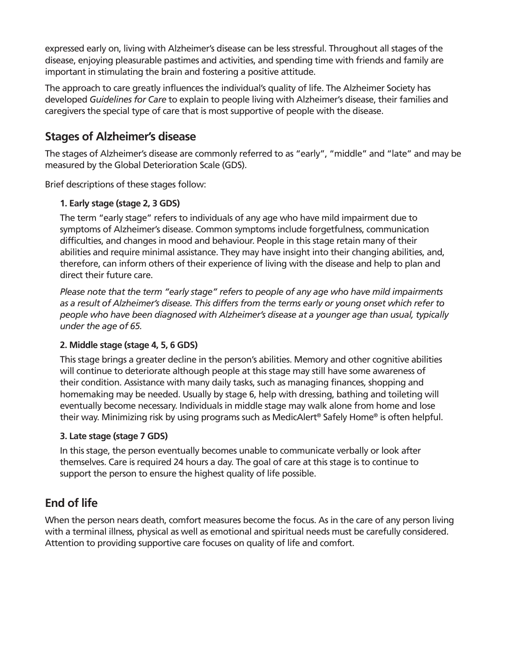expressed early on, living with Alzheimer's disease can be less stressful. Throughout all stages of the disease, enjoying pleasurable pastimes and activities, and spending time with friends and family are important in stimulating the brain and fostering a positive attitude.

The approach to care greatly influences the individual's quality of life. The Alzheimer Society has developed *Guidelines for Care* to explain to people living with Alzheimer's disease, their families and caregivers the special type of care that is most supportive of people with the disease.

#### **Stages of Alzheimer's disease**

The stages of Alzheimer's disease are commonly referred to as "early", "middle" and "late" and may be measured by the Global Deterioration Scale (GDS).

Brief descriptions of these stages follow:

#### **1. Early stage (stage 2, 3 GDS)**

The term "early stage" refers to individuals of any age who have mild impairment due to symptoms of Alzheimer's disease. Common symptoms include forgetfulness, communication difficulties, and changes in mood and behaviour. People in this stage retain many of their abilities and require minimal assistance. They may have insight into their changing abilities, and, therefore, can inform others of their experience of living with the disease and help to plan and direct their future care.

*Please note that the term "early stage" refers to people of any age who have mild impairments as a result of Alzheimer's disease. This differs from the terms early or young onset which refer to people who have been diagnosed with Alzheimer's disease at a younger age than usual, typically under the age of 65.*

#### **2. Middle stage (stage 4, 5, 6 GDS)**

This stage brings a greater decline in the person's abilities. Memory and other cognitive abilities will continue to deteriorate although people at this stage may still have some awareness of their condition. Assistance with many daily tasks, such as managing finances, shopping and homemaking may be needed. Usually by stage 6, help with dressing, bathing and toileting will eventually become necessary. Individuals in middle stage may walk alone from home and lose their way. Minimizing risk by using programs such as MedicAlert® Safely Home® is often helpful.

#### **3. Late stage (stage 7 GDS)**

In this stage, the person eventually becomes unable to communicate verbally or look after themselves. Care is required 24 hours a day. The goal of care at this stage is to continue to support the person to ensure the highest quality of life possible.

#### **End of life**

When the person nears death, comfort measures become the focus. As in the care of any person living with a terminal illness, physical as well as emotional and spiritual needs must be carefully considered. Attention to providing supportive care focuses on quality of life and comfort.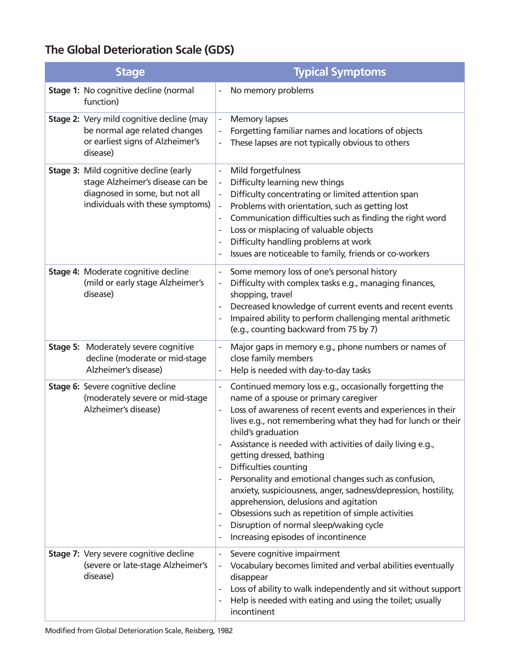#### **The Global Deterioration Scale (GDS)**

| <b>Stage</b>                                                                                                                                            | <b>Typical Symptoms</b>                                                                                                                                                                                                                                                                                                                                                                                                                                                                                                                                                                                                                                                                                                                                                                                     |
|---------------------------------------------------------------------------------------------------------------------------------------------------------|-------------------------------------------------------------------------------------------------------------------------------------------------------------------------------------------------------------------------------------------------------------------------------------------------------------------------------------------------------------------------------------------------------------------------------------------------------------------------------------------------------------------------------------------------------------------------------------------------------------------------------------------------------------------------------------------------------------------------------------------------------------------------------------------------------------|
| Stage 1: No cognitive decline (normal<br>function)                                                                                                      | No memory problems<br>$\qquad \qquad \blacksquare$                                                                                                                                                                                                                                                                                                                                                                                                                                                                                                                                                                                                                                                                                                                                                          |
| <b>Stage 2: Very mild cognitive decline (may</b><br>be normal age related changes<br>or earliest signs of Alzheimer's<br>disease)                       | <b>Memory lapses</b><br>Forgetting familiar names and locations of objects<br>These lapses are not typically obvious to others                                                                                                                                                                                                                                                                                                                                                                                                                                                                                                                                                                                                                                                                              |
| <b>Stage 3: Mild cognitive decline (early</b><br>stage Alzheimer's disease can be<br>diagnosed in some, but not all<br>individuals with these symptoms) | Mild forgetfulness<br>$\blacksquare$<br>Difficulty learning new things<br>Difficulty concentrating or limited attention span<br>Problems with orientation, such as getting lost<br>Communication difficulties such as finding the right word<br>Loss or misplacing of valuable objects<br>$\qquad \qquad \blacksquare$<br>Difficulty handling problems at work<br>$\qquad \qquad \blacksquare$<br>Issues are noticeable to family, friends or co-workers<br>$\qquad \qquad \blacksquare$                                                                                                                                                                                                                                                                                                                    |
| Stage 4: Moderate cognitive decline<br>(mild or early stage Alzheimer's<br>disease)                                                                     | Some memory loss of one's personal history<br>$\qquad \qquad \blacksquare$<br>Difficulty with complex tasks e.g., managing finances,<br>shopping, travel<br>Decreased knowledge of current events and recent events<br>$\qquad \qquad \blacksquare$<br>Impaired ability to perform challenging mental arithmetic<br>(e.g., counting backward from 75 by 7)                                                                                                                                                                                                                                                                                                                                                                                                                                                  |
| <b>Stage 5: Moderately severe cognitive</b><br>decline (moderate or mid-stage<br>Alzheimer's disease)                                                   | Major gaps in memory e.g., phone numbers or names of<br>close family members<br>Help is needed with day-to-day tasks                                                                                                                                                                                                                                                                                                                                                                                                                                                                                                                                                                                                                                                                                        |
| <b>Stage 6: Severe cognitive decline</b><br>(moderately severe or mid-stage<br>Alzheimer's disease)                                                     | Continued memory loss e.g., occasionally forgetting the<br>$\overline{\phantom{a}}$<br>name of a spouse or primary caregiver<br>Loss of awareness of recent events and experiences in their<br>lives e.g., not remembering what they had for lunch or their<br>child's graduation<br>Assistance is needed with activities of daily living e.g.,<br>getting dressed, bathing<br>Difficulties counting<br>$\qquad \qquad \blacksquare$<br>Personality and emotional changes such as confusion,<br>$\overline{\phantom{a}}$<br>anxiety, suspiciousness, anger, sadness/depression, hostility,<br>apprehension, delusions and agitation<br>Obsessions such as repetition of simple activities<br>Disruption of normal sleep/waking cycle<br>Increasing episodes of incontinence<br>$\qquad \qquad \blacksquare$ |
| Stage 7: Very severe cognitive decline<br>(severe or late-stage Alzheimer's<br>disease)                                                                 | Severe cognitive impairment<br>Vocabulary becomes limited and verbal abilities eventually<br>disappear<br>Loss of ability to walk independently and sit without support<br>$\qquad \qquad \blacksquare$<br>Help is needed with eating and using the toilet; usually<br>$\overline{\phantom{a}}$<br>incontinent                                                                                                                                                                                                                                                                                                                                                                                                                                                                                              |